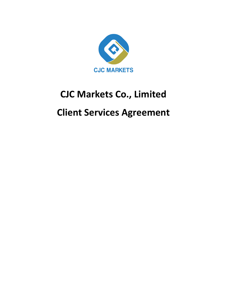

# **CJC Markets Co., Limited Client Services Agreement**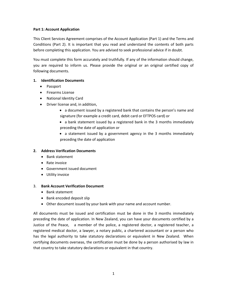#### **Part 1: Account Application**

This Client Services Agreement comprises of the Account Application (Part 1) and the Terms and Conditions (Part 2). It is important that you read and understand the contents of both parts before completing this application. You are advised to seek professional advice if in doubt.

You must complete this form accurately and truthfully. If any of the information should change, you are required to inform us. Please provide the original or an original certified copy of following documents.

#### **1. Identification Documents**

- Passport
- Firearms License
- National Identity Card
- Driver license and, in addition,
	- a document issued by a registered bank that contains the person's name and signature (for example a credit card, debit card or EFTPOS card) or
	- a bank statement issued by a registered bank in the 3 months immediately preceding the date of application or
	- a statement issued by a government agency in the 3 months immediately preceding the date of application

#### **2. Address Verification Documents**

- Bank statement
- Rate invoice
- Government issued document
- Utility invoice

#### 3. **Bank Account Verification Document**

- Bank statement
- Bank encoded deposit slip
- Other document issued by your bank with your name and account number.

All documents must be issued and certification must be done in the 3 months immediately preceding the date of application. In New Zealand, you can have your documents certified by a Justice of the Peace, a member of the police, a registered doctor, a registered teacher, a registered medical doctor, a lawyer, a notary public, a chartered accountant or a person who has the legal authority to take statutory declarations or equivalent in New Zealand. When certifying documents overseas, the certification must be done by a person authorised by law in that country to take statutory declarations or equivalent in that country.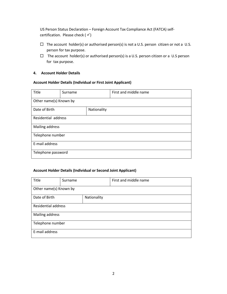US Person Status Declaration – Foreign Account Tax Compliance Act (FATCA) selfcertification. Please check  $(\checkmark)$ 

- $\Box$  The account holder(s) or authorised person(s) is not a U.S. person citizen or not a U.S. person for tax purpose.
- $\Box$  The account holder(s) or authorised person(s) is a U.S. person citizen or a U.S person for tax purpose.

#### **4. Account Holder Details**

#### **Account Holder Details (Individual or First Joint Applicant)**

| Title                  | Surname |             | First and middle name |
|------------------------|---------|-------------|-----------------------|
| Other name(s) Known by |         |             |                       |
| Date of Birth          |         | Nationality |                       |
| Residential address    |         |             |                       |
| Mailing address        |         |             |                       |
| Telephone number       |         |             |                       |
| E-mail address         |         |             |                       |
| Telephone password     |         |             |                       |

#### **Account Holder Details (Individual or Second Joint Applicant)**

| Title                      | Surname     |  | First and middle name |
|----------------------------|-------------|--|-----------------------|
| Other name(s) Known by     |             |  |                       |
| Date of Birth              | Nationality |  |                       |
| <b>Residential address</b> |             |  |                       |
| Mailing address            |             |  |                       |
| Telephone number           |             |  |                       |
| E-mail address             |             |  |                       |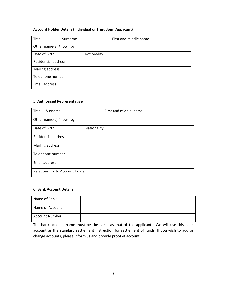#### **Account Holder Details (Individual or Third Joint Applicant)**

| Title                      | Surname |             | First and middle name |
|----------------------------|---------|-------------|-----------------------|
| Other name(s) Known by     |         |             |                       |
| Date of Birth              |         | Nationality |                       |
| <b>Residential address</b> |         |             |                       |
| Mailing address            |         |             |                       |
| Telephone number           |         |             |                       |
| Email address              |         |             |                       |

#### 5. **Authorised Representative**

| Title                          | Surname       |             | First and middle name |
|--------------------------------|---------------|-------------|-----------------------|
| Other name(s) Known by         |               |             |                       |
|                                | Date of Birth | Nationality |                       |
| <b>Residential address</b>     |               |             |                       |
| Mailing address                |               |             |                       |
| Telephone number               |               |             |                       |
| <b>Email address</b>           |               |             |                       |
| Relationship to Account Holder |               |             |                       |

#### **6. Bank Account Details**

| Name of Bank          |  |
|-----------------------|--|
| Name of Account       |  |
| <b>Account Number</b> |  |

The bank account name must be the same as that of the applicant. We will use this bank account as the standard settlement instruction for settlement of funds. If you wish to add or change accounts, please inform us and provide proof of account.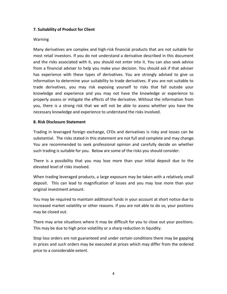#### **7. Suitability of Product for Client**

#### Warning

Many derivatives are complex and high-risk financial products that are not suitable for most retail investors. If you do not understand a derivative described in this document and the risks associated with it, you should not enter into it. You can also seek advice from a financial adviser to help you make your decision. You should ask if that adviser has experience with these types of derivatives. You are strongly advised to give us information to determine your suitability to trade derivatives. If you are not suitable to trade derivatives, you may risk exposing yourself to risks that fall outside your knowledge and experience and you may not have the knowledge or experience to properly assess or mitigate the effects of the derivative. Without the information from you, there is a strong risk that we will not be able to assess whether you have the necessary knowledge and experience to understand the risks involved.

#### **8. Risk Disclosure Statement**

Trading in leveraged foreign exchange, CFDs and derivatives is risky and losses can be substantial. The risks stated in this statement are not full and complete and may change. You are recommended to seek professional opinion and carefully decide on whether such trading is suitable for you. Below are some of the risks you should consider.

There is a possibility that you may lose more than your initial deposit due to the elevated level of risks involved.

When trading leveraged products, a large exposure may be taken with a relatively small deposit. This can lead to magnification of losses and you may lose more than your original investment amount.

You may be required to maintain additional funds in your account at short notice due to increased market volatility or other reasons. If you are not able to do so, your positions may be closed out.

There may arise situations where it may be difficult for you to close out your positions. This may be due to high price volatility or a sharp reduction in liquidity.

Stop loss orders are not guaranteed and under certain conditions there may be gapping in prices and such orders may be executed at prices which may differ from the ordered price to a considerable extent.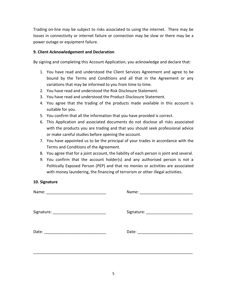Trading on-line may be subject to risks associated to using the internet. There may be losses in connectivity or internet failure or connection may be slow or there may be a power outage or equipment failure.

#### **9. Client Acknowledgement and Declaration**

By signing and completing this Account Application, you acknowledge and declare that:

- 1. You have read and understood the Client Services Agreement and agree to be bound by the Terms and Conditions and all that in the Agreement or any variations that may be informed to you from time to time.
- 2. You have read and understood the Risk Disclosure Statement.
- 3. You have read and understood the Product Disclosure Statement.
- 4. You agree that the trading of the products made available in this account is suitable for you.
- 5. You confirm that all the information that you have provided is correct.
- 6. This Application and associated documents do not disclose all risks associated with the products you are trading and that you should seek professional advice or make careful studies before opening the account.
- 7. You have appointed us to be the principal of your trades in accordance with the Terms and Conditions of the Agreement.
- 8. You agree that for a joint account, the liability of each person is joint and several.
- 9. You confirm that the account holder(s) and any authorised person is not a Politically Exposed Person (PEP) and that no monies or activities are associated with money laundering, the financing of terrorism or other illegal activities.

#### **10. Signature**

| Name: |                                    |
|-------|------------------------------------|
|       | Signature: _______________________ |
| Date: | Date:                              |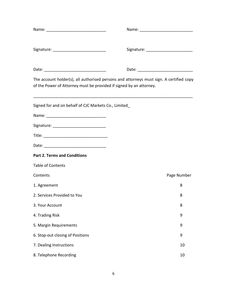|                                                                     | Signature: ______________________________                                               |
|---------------------------------------------------------------------|-----------------------------------------------------------------------------------------|
|                                                                     |                                                                                         |
| of the Power of Attorney must be provided if signed by an attorney. | The account holder(s), all authorised persons and attorneys must sign. A certified copy |
| Signed for and on behalf of CJC Markets Co., Limited                |                                                                                         |
|                                                                     |                                                                                         |
|                                                                     |                                                                                         |
|                                                                     |                                                                                         |
|                                                                     |                                                                                         |
| <b>Part 2. Terms and Conditions</b>                                 |                                                                                         |
| <b>Table of Contents</b>                                            |                                                                                         |
| Contents                                                            | Page Number                                                                             |
| 1. Agreement                                                        | 8                                                                                       |
| 2. Services Provided to You                                         | 8                                                                                       |
| 3. Your Account                                                     | 8                                                                                       |
| 4. Trading Risk                                                     | 9                                                                                       |
| 5. Margin Requirements                                              | 9                                                                                       |
| 6. Stop-out closing of Positions                                    | 9                                                                                       |
| 7. Dealing Instructions                                             | 10                                                                                      |
| 8. Telephone Recording                                              | 10                                                                                      |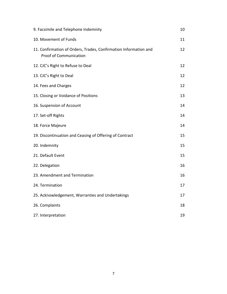| 9. Facsimile and Telephone Indemnity                                                              | 10 |
|---------------------------------------------------------------------------------------------------|----|
| 10. Movement of Funds                                                                             | 11 |
| 11. Confirmation of Orders, Trades, Confirmation Information and<br><b>Proof of Communication</b> | 12 |
| 12. CJC's Right to Refuse to Deal                                                                 | 12 |
| 13. CJC's Right to Deal                                                                           | 12 |
| 14. Fees and Charges                                                                              | 12 |
| 15. Closing or Voidance of Positions                                                              | 13 |
| 16. Suspension of Account                                                                         | 14 |
| 17. Set-off Rights                                                                                | 14 |
| 18. Force Majeure                                                                                 | 14 |
| 19. Discontinuation and Ceasing of Offering of Contract                                           | 15 |
| 20. Indemnity                                                                                     | 15 |
| 21. Default Event                                                                                 | 15 |
| 22. Delegation                                                                                    | 16 |
| 23. Amendment and Termination                                                                     | 16 |
| 24. Termination                                                                                   | 17 |
| 25. Acknowledgement, Warranties and Undertakings                                                  | 17 |
| 26. Complaints                                                                                    | 18 |
| 27. Interpretation                                                                                | 19 |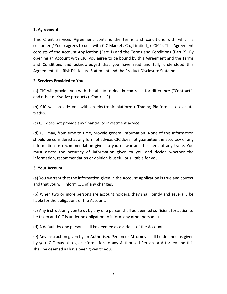## **1. Agreement**

This Client Services Agreement contains the terms and conditions with which a customer ("You") agrees to deal with CJC Markets Co., Limited\_ ("CJC"). This Agreement consists of the Account Application (Part 1) and the Terms and Conditions (Part 2). By opening an Account with CJC, you agree to be bound by this Agreement and the Terms and Conditions and acknowledged that you have read and fully understood this Agreement, the Risk Disclosure Statement and the Product Disclosure Statement

## **2. Services Provided to You**

(a) CJC will provide you with the ability to deal in contracts for difference ("Contract") and other derivative products ("Contract").

(b) CJC will provide you with an electronic platform ("Trading Platform") to execute trades.

(c) CJC does not provide any financial or investment advice.

(d) CJC may, from time to time, provide general information. None of this information should be considered as any form of advice. CJC does not guarantee the accuracy of any information or recommendation given to you or warrant the merit of any trade. You must assess the accuracy of information given to you and decide whether the information, recommendation or opinion is useful or suitable for you.

#### **3. Your Account**

(a) You warrant that the information given in the Account Application is true and correct and that you will inform CJC of any changes.

(b) When two or more persons are account holders, they shall jointly and severally be liable for the obligations of the Account.

(c) Any instruction given to us by any one person shall be deemed sufficient for action to be taken and CJC is under no obligation to inform any other person(s).

(d) A default by one person shall be deemed as a default of the Account.

(e) Any instruction given by an Authorised Person or Attorney shall be deemed as given by you. CJC may also give information to any Authorised Person or Attorney and this shall be deemed as have been given to you.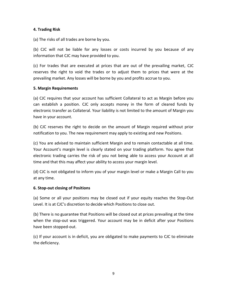#### **4. Trading Risk**

(a) The risks of all trades are borne by you.

(b) CJC will not be liable for any losses or costs incurred by you because of any information that CJC may have provided to you.

(c) For trades that are executed at prices that are out of the prevailing market, CJC reserves the right to void the trades or to adjust them to prices that were at the prevailing market. Any losses will be borne by you and profits accrue to you.

#### **5. Margin Requirements**

(a) CJC requires that your account has sufficient Collateral to act as Margin before you can establish a position. CJC only accepts money in the form of cleared funds by electronic transfer as Collateral. Your liability is not limited to the amount of Margin you have in your account.

(b) CJC reserves the right to decide on the amount of Margin required without prior notification to you. The new requirement may apply to existing and new Positions.

(c) You are advised to maintain sufficient Margin and to remain contactable at all time. Your Account's margin level is clearly stated on your trading platform. You agree that electronic trading carries the risk of you not being able to access your Account at all time and that this may affect your ability to access your margin level.

(d) CJC is not obligated to inform you of your margin level or make a Margin Call to you at any time.

## **6. Stop-out closing of Positions**

(a) Some or all your positions may be closed out if your equity reaches the Stop-Out Level. It is at CJC's discretion to decide which Positions to close out.

(b) There is no guarantee that Positions will be closed out at prices prevailing at the time when the stop-out was triggered. Your account may be in deficit after your Positions have been stopped-out.

(c) If your account is in deficit, you are obligated to make payments to CJC to eliminate the deficiency.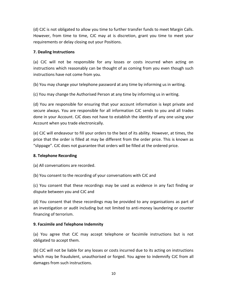(d) CJC is not obligated to allow you time to further transfer funds to meet Margin Calls. However, from time to time, CJC may at is discretion, grant you time to meet your requirements or delay closing out your Positions.

## **7. Dealing Instructions**

(a) CJC will not be responsible for any losses or costs incurred when acting on instructions which reasonably can be thought of as coming from you even though such instructions have not come from you.

(b) You may change your telephone password at any time by informing us in writing.

(c) You may change the Authorised Person at any time by informing us in writing.

(d) You are responsible for ensuring that your account information is kept private and secure always. You are responsible for all information CJC sends to you and all trades done in your Account. CJC does not have to establish the identity of any one using your Account when you trade electronically.

(e) CJC will endeavour to fill your orders to the best of its ability. However, at times, the price that the order is filled at may be different from the order price. This is known as "slippage". CJC does not guarantee that orders will be filled at the ordered price.

## **8. Telephone Recording**

(a) All conversations are recorded.

(b) You consent to the recording of your conversations with CJC and

(c) You consent that these recordings may be used as evidence in any fact finding or dispute between you and CJC and

(d) You consent that these recordings may be provided to any organisations as part of an investigation or audit including but not limited to anti-money laundering or counter financing of terrorism.

## **9. Facsimile and Telephone Indemnity**

(a) You agree that CJC may accept telephone or facsimile instructions but is not obligated to accept them.

(b) CJC will not be liable for any losses or costs incurred due to its acting on instructions which may be fraudulent, unauthorised or forged. You agree to indemnify CJC from all damages from such instructions.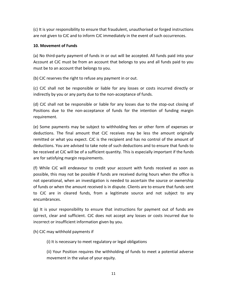(c) It is your responsibility to ensure that fraudulent, unauthorised or forged instructions are not given to CJC and to inform CJC immediately in the event of such occurrences.

#### **10. Movement of Funds**

(a) No third-party payment of funds in or out will be accepted. All funds paid into your Account at CJC must be from an account that belongs to you and all funds paid to you must be to an account that belongs to you.

(b) CJC reserves the right to refuse any payment in or out.

(c) CJC shall not be responsible or liable for any losses or costs incurred directly or indirectly by you or any party due to the non-acceptance of funds.

(d) CJC shall not be responsible or liable for any losses due to the stop-out closing of Positions due to the non-acceptance of funds for the intention of funding margin requirement.

(e) Some payments may be subject to withholding fees or other form of expenses or deductions. The final amount that CJC receives may be less the amount originally remitted or what you expect. CJC is the recipient and has no control of the amount of deductions. You are advised to take note of such deductions and to ensure that funds to be received at CJC will be of a sufficient quantity. This is especially important if the funds are for satisfying margin requirements.

(f) While CJC will endeavour to credit your account with funds received as soon as possible, this may not be possible if funds are received during hours when the office is not operational, when an investigation is needed to ascertain the source or ownership of funds or when the amount received is in dispute. Clients are to ensure that funds sent to CJC are in cleared funds, from a legitimate source and not subject to any encumbrances.

(g) It is your responsibility to ensure that instructions for payment out of funds are correct, clear and sufficient. CJC does not accept any losses or costs incurred due to incorrect or insufficient information given by you.

(h) CJC may withhold payments if

(i) It is necessary to meet regulatory or legal obligations

(ii) Your Position requires the withholding of funds to meet a potential adverse movement in the value of your equity.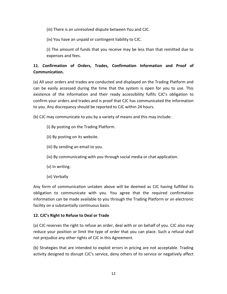(iii) There is an unresolved dispute between You and CJC.

(iv) You have an unpaid or contingent liability to CJC.

(i) The amount of funds that you receive may be less than that remitted due to expenses and fees.

# **11. Confirmation of Orders, Trades, Confirmation Information and Proof of Communication.**

(a) All your orders and trades are conducted and displayed on the Trading Platform and can be easily accessed during the time that the system is open for you to use. This existence of the information and their ready accessibility fulfils CJC's obligation to confirm your orders and trades and is proof that CJC has communicated the information to you. Any discrepancy should be reported to CJC within 24 hours.

(b) CJC may communicate to you by a variety of means and this may include:

- (i) By posting on the Trading Platform.
- (ii) By posting on its website.
- (iii) By sending an email to you.
- (iv) By communicating with you through social media or chat application.
- (v) In writing.
- (vi) Verbally

Any form of communication untaken above will be deemed as CJC having fulfilled its obligation to communicate with you. You agree that the required confirmation information can be made available to you through the Trading Platform or an electronic facility on a substantially continuous basis.

## **12. CJC's Right to Refuse to Deal or Trade**

(a) CJC reserves the right to refuse an order, deal with or on behalf of you. CJC also may reduce your position or limit the type of order that you can place. Such a refusal shall not prejudice any other rights of CJC in this Agreement.

(b) Strategies that are intended to exploit errors in pricing are not acceptable. Trading activity designed to disrupt CJC's service, deny others of its service or negatively affect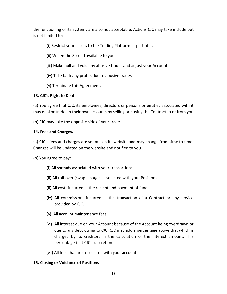the functioning of its systems are also not acceptable. Actions CJC may take include but is not limited to:

- (i) Restrict your access to the Trading Platform or part of it.
- (ii) Widen the Spread available to you.
- (iii) Make null and void any abusive trades and adjust your Account.
- (iv) Take back any profits due to abusive trades.
- (v) Terminate this Agreement.

## **13. CJC's Right to Deal**

(a) You agree that CJC, its employees, directors or persons or entities associated with it may deal or trade on their own accounts by selling or buying the Contract to or from you.

(b) CJC may take the opposite side of your trade.

## **14. Fees and Charges.**

(a) CJC's fees and charges are set out on its website and may change from time to time. Changes will be updated on the website and notified to you.

(b) You agree to pay:

- (i) All spreads associated with your transactions.
- (ii) All roll-over (swap) charges associated with your Positions.
- (ii) All costs incurred in the receipt and payment of funds.
- (iv) All commissions incurred in the transaction of a Contract or any service provided by CJC.
- (v) All account maintenance fees.
- (vi) All interest due on your Account because of the Account being overdrawn or due to any debt owing to CJC. CJC may add a percentage above that which is charged by its creditors in the calculation of the interest amount. This percentage is at CJC's discretion.
- (vii) All fees that are associated with your account.

## **15. Closing or Voidance of Positions**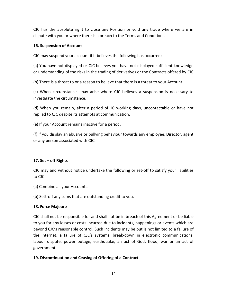CJC has the absolute right to close any Position or void any trade where we are in dispute with you or where there is a breach to the Terms and Conditions.

#### **16. Suspension of Account**

CJC may suspend your account if it believes the following has occurred:

(a) You have not displayed or CJC believes you have not displayed sufficient knowledge or understanding of the risks in the trading of derivatives or the Contracts offered by CJC.

(b) There is a threat to or a reason to believe that there is a threat to your Account.

(c) When circumstances may arise where CJC believes a suspension is necessary to investigate the circumstance.

(d) When you remain, after a period of 10 working days, uncontactable or have not replied to CJC despite its attempts at communication.

(e) If your Account remains inactive for a period.

(f) If you display an abusive or bullying behaviour towards any employee, Director, agent or any person associated with CJC.

## **17. Set – off Rights**

CJC may and without notice undertake the following or set-off to satisfy your liabilities to CJC.

(a) Combine all your Accounts.

(b) Sett-off any sums that are outstanding credit to you.

#### **18. Force Majeure**

CJC shall not be responsible for and shall not be in breach of this Agreement or be liable to you for any losses or costs incurred due to incidents, happenings or events which are beyond CJC's reasonable control. Such incidents may be but is not limited to a failure of the internet, a failure of CJC's systems, break-down in electronic communications, labour dispute, power outage, earthquake, an act of God, flood, war or an act of government.

#### **19. Discontinuation and Ceasing of Offering of a Contract**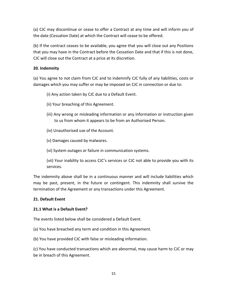(a) CJC may discontinue or cease to offer a Contract at any time and will inform you of the date (Cessation Date) at which the Contract will cease to be offered.

(b) If the contract ceases to be available, you agree that you will close out any Positions that you may have in the Contract before the Cessation Date and that if this is not done, CJC will close out the Contract at a price at its discretion.

## **20. Indemnity**

(a) You agree to not claim from CJC and to indemnify CJC fully of any liabilities, costs or damages which you may suffer or may be imposed on CJC in connection or due to:

- (i) Any action taken by CJC due to a Default Event.
- (ii) Your breaching of this Agreement.
- (iii) Any wrong or misleading information or any information or instruction given to us from whom it appears to be from an Authorised Person.
- (iv) Unauthorised use of the Account.
- (v) Damages caused by malwares.
- (vi) System outages or failure in communication systems.

(vii) Your inability to access CJC's services or CJC not able to provide you with its services.

The indemnity above shall be in a continuous manner and will include liabilities which may be past, present, in the future or contingent. This indemnity shall survive the termination of the Agreement or any transactions under this Agreement.

## **21. Default Event**

## **21.1 What is a Default Event?**

The events listed below shall be considered a Default Event.

(a) You have breached any term and condition in this Agreement.

(b) You have provided CJC with false or misleading information.

(c) You have conducted transactions which are abnormal, may cause harm to CJC or may be in breach of this Agreement.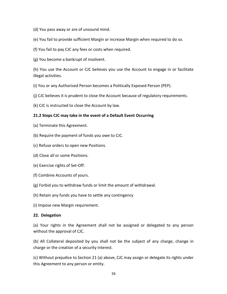- (d) You pass away or are of unsound mind.
- (e) You fail to provide sufficient Margin or increase Margin when required to do so.
- (f) You fail to pay CJC any fees or costs when required.
- (g) You become a bankrupt of insolvent.

(h) You use the Account or CJC believes you use the Account to engage in or facilitate illegal activities.

(i) You or any Authorised Person becomes a Politically Exposed Person (PEP).

- (j) CJC believes it is prudent to close the Account because of regulatory requirements.
- (k) CJC is instructed to close the Account by law.

#### **21.2 Steps CJC may take in the event of a Default Event Occurring**

- (a) Terminate this Agreement.
- (b) Require the payment of funds you owe to CJC.
- (c) Refuse orders to open new Positions.
- (d) Close all or some Positions.
- (e) Exercise rights of Set-Off.
- (f) Combine Accounts of yours.
- (g) Forbid you to withdraw funds or limit the amount of withdrawal.
- (h) Retain any funds you have to settle any contingency
- (i) Impose new Margin requirement.

#### **22. Delegation**

(a) Your rights in the Agreement shall not be assigned or delegated to any person without the approval of CJC.

(b) All Collateral deposited by you shall not be the subject of any charge, change in charge or the creation of a security interest.

(c) Without prejudice to Section 21 (a) above, CJC may assign or delegate its rights under this Agreement to any person or entity.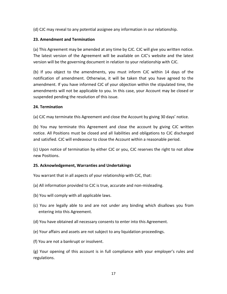(d) CJC may reveal to any potential assignee any information in our relationship.

## **23. Amendment and Termination**

(a) This Agreement may be amended at any time by CJC. CJC will give you written notice. The latest version of the Agreement will be available on CJC's website and the latest version will be the governing document in relation to your relationship with CJC.

(b) If you object to the amendments, you must inform CJC within 14 days of the notification of amendment. Otherwise, it will be taken that you have agreed to the amendment. If you have informed CJC of your objection within the stipulated time, the amendments will not be applicable to you. In this case, your Account may be closed or suspended pending the resolution of this issue.

## **24. Termination**

(a) CJC may terminate this Agreement and close the Account by giving 30 days' notice.

(b) You may terminate this Agreement and close the account by giving CJC written notice. All Positions must be closed and all liabilities and obligations to CJC discharged and satisfied. CJC will endeavour to close the Account within a reasonable period.

(c) Upon notice of termination by either CJC or you, CJC reserves the right to not allow new Positions.

## **25. Acknowledgement, Warranties and Undertakings**

You warrant that in all aspects of your relationship with CJC, that:

- (a) All information provided to CJC is true, accurate and non-misleading.
- (b) You will comply with all applicable laws.
- (c) You are legally able to and are not under any binding which disallows you from entering into this Agreement.
- (d) You have obtained all necessary consents to enter into this Agreement.
- (e) Your affairs and assets are not subject to any liquidation proceedings.
- (f) You are not a bankrupt or insolvent.

(g) Your opening of this account is in full compliance with your employer's rules and regulations.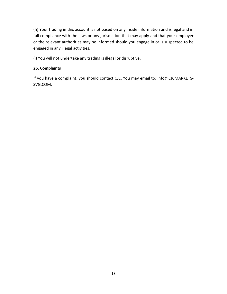(h) Your trading in this account is not based on any inside information and is legal and in full compliance with the laws or any jurisdiction that may apply and that your employer or the relevant authorities may be informed should you engage in or is suspected to be engaged in any illegal activities.

(i) You will not undertake any trading is illegal or disruptive.

## **26. Complaints**

If you have a complaint, you should contact CJC. You may email to: info@CJCMARKETS-SVG.COM.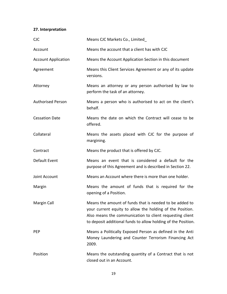## **27. Interpretation**

| <b>CJC</b>                 | Means CJC Markets Co., Limited                                                                                                                                                                                                                    |
|----------------------------|---------------------------------------------------------------------------------------------------------------------------------------------------------------------------------------------------------------------------------------------------|
| Account                    | Means the account that a client has with CJC                                                                                                                                                                                                      |
| <b>Account Application</b> | Means the Account Application Section in this document                                                                                                                                                                                            |
| Agreement                  | Means this Client Services Agreement or any of its update<br>versions.                                                                                                                                                                            |
| Attorney                   | Means an attorney or any person authorised by law to<br>perform the task of an attorney.                                                                                                                                                          |
| <b>Authorised Person</b>   | Means a person who is authorised to act on the client's<br>behalf.                                                                                                                                                                                |
| <b>Cessation Date</b>      | Means the date on which the Contract will cease to be<br>offered.                                                                                                                                                                                 |
| Collateral                 | Means the assets placed with CJC for the purpose of<br>margining.                                                                                                                                                                                 |
| Contract                   | Means the product that is offered by CJC.                                                                                                                                                                                                         |
| Default Event              | Means an event that is considered a default for the<br>purpose of this Agreement and is described in Section 22.                                                                                                                                  |
| Joint Account              | Means an Account where there is more than one holder.                                                                                                                                                                                             |
| Margin                     | Means the amount of funds that is required for the<br>opening of a Position.                                                                                                                                                                      |
| Margin Call                | Means the amount of funds that is needed to be added to<br>your current equity to allow the holding of the Position.<br>Also means the communication to client requesting client<br>to deposit additional funds to allow holding of the Position. |
| <b>PEP</b>                 | Means a Politically Exposed Person as defined in the Anti<br>Money Laundering and Counter Terrorism Financing Act<br>2009.                                                                                                                        |
| Position                   | Means the outstanding quantity of a Contract that is not<br>closed out in an Account.                                                                                                                                                             |